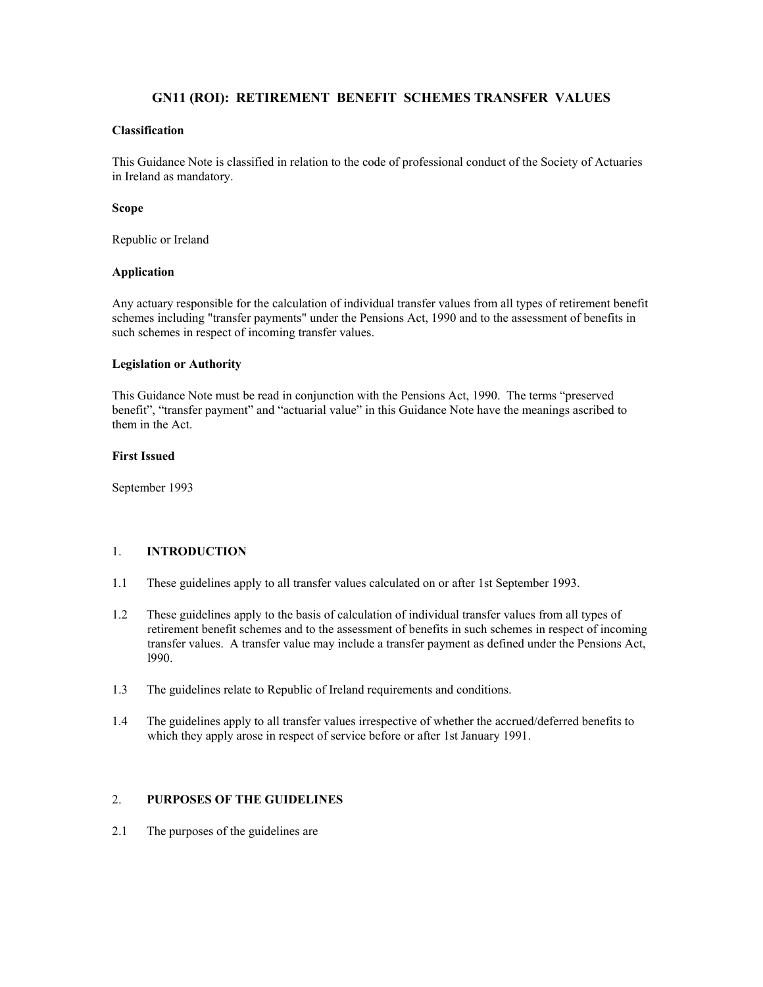# **GN11 (ROI): RETIREMENT BENEFIT SCHEMES TRANSFER VALUES**

## **Classification**

This Guidance Note is classified in relation to the code of professional conduct of the Society of Actuaries in Ireland as mandatory.

#### **Scope**

Republic or Ireland

#### **Application**

Any actuary responsible for the calculation of individual transfer values from all types of retirement benefit schemes including "transfer payments" under the Pensions Act, 1990 and to the assessment of benefits in such schemes in respect of incoming transfer values.

#### **Legislation or Authority**

This Guidance Note must be read in conjunction with the Pensions Act, 1990. The terms "preserved benefit", "transfer payment" and "actuarial value" in this Guidance Note have the meanings ascribed to them in the Act.

#### **First Issued**

September 1993

### 1. **INTRODUCTION**

- 1.1 These guidelines apply to all transfer values calculated on or after 1st September 1993.
- 1.2 These guidelines apply to the basis of calculation of individual transfer values from all types of retirement benefit schemes and to the assessment of benefits in such schemes in respect of incoming transfer values. A transfer value may include a transfer payment as defined under the Pensions Act, l990.
- 1.3 The guidelines relate to Republic of Ireland requirements and conditions.
- 1.4 The guidelines apply to all transfer values irrespective of whether the accrued/deferred benefits to which they apply arose in respect of service before or after 1st January 1991.

### 2. **PURPOSES OF THE GUIDELINES**

2.1 The purposes of the guidelines are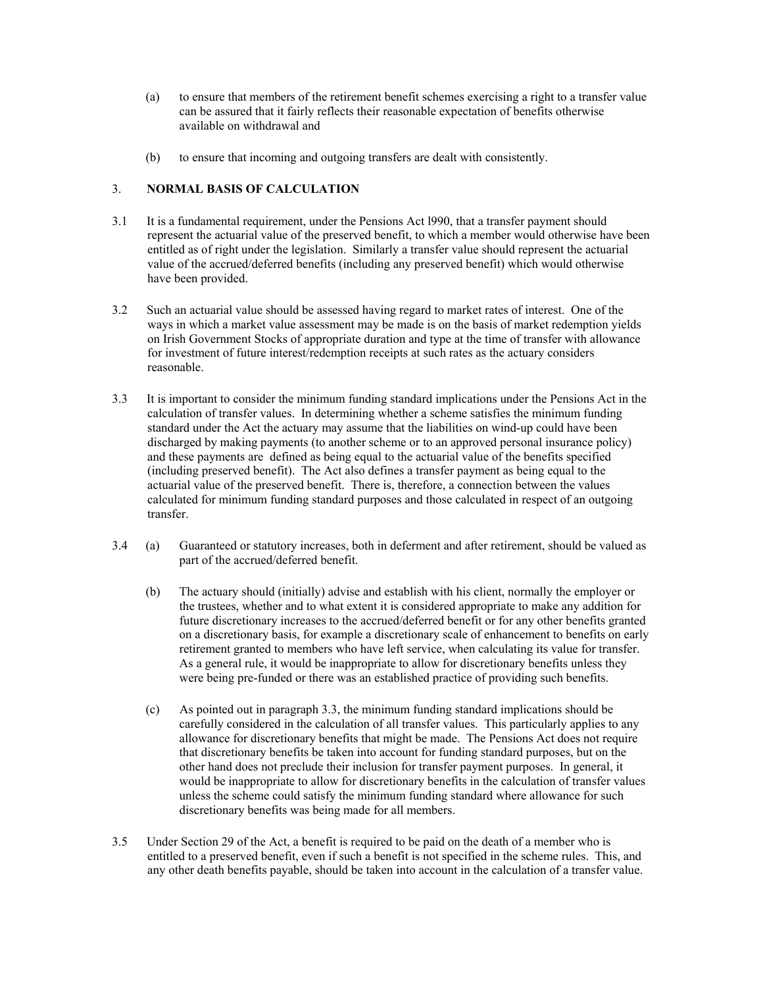- (a) to ensure that members of the retirement benefit schemes exercising a right to a transfer value can be assured that it fairly reflects their reasonable expectation of benefits otherwise available on withdrawal and
- (b) to ensure that incoming and outgoing transfers are dealt with consistently.

## 3. **NORMAL BASIS OF CALCULATION**

- 3.1 It is a fundamental requirement, under the Pensions Act l990, that a transfer payment should represent the actuarial value of the preserved benefit, to which a member would otherwise have been entitled as of right under the legislation. Similarly a transfer value should represent the actuarial value of the accrued/deferred benefits (including any preserved benefit) which would otherwise have been provided.
- 3.2 Such an actuarial value should be assessed having regard to market rates of interest. One of the ways in which a market value assessment may be made is on the basis of market redemption yields on Irish Government Stocks of appropriate duration and type at the time of transfer with allowance for investment of future interest/redemption receipts at such rates as the actuary considers reasonable.
- 3.3 It is important to consider the minimum funding standard implications under the Pensions Act in the calculation of transfer values. In determining whether a scheme satisfies the minimum funding standard under the Act the actuary may assume that the liabilities on wind-up could have been discharged by making payments (to another scheme or to an approved personal insurance policy) and these payments are defined as being equal to the actuarial value of the benefits specified (including preserved benefit). The Act also defines a transfer payment as being equal to the actuarial value of the preserved benefit. There is, therefore, a connection between the values calculated for minimum funding standard purposes and those calculated in respect of an outgoing transfer.
- 3.4 (a) Guaranteed or statutory increases, both in deferment and after retirement, should be valued as part of the accrued/deferred benefit.
	- (b) The actuary should (initially) advise and establish with his client, normally the employer or the trustees, whether and to what extent it is considered appropriate to make any addition for future discretionary increases to the accrued/deferred benefit or for any other benefits granted on a discretionary basis, for example a discretionary scale of enhancement to benefits on early retirement granted to members who have left service, when calculating its value for transfer. As a general rule, it would be inappropriate to allow for discretionary benefits unless they were being pre-funded or there was an established practice of providing such benefits.
	- (c) As pointed out in paragraph 3.3, the minimum funding standard implications should be carefully considered in the calculation of all transfer values. This particularly applies to any allowance for discretionary benefits that might be made. The Pensions Act does not require that discretionary benefits be taken into account for funding standard purposes, but on the other hand does not preclude their inclusion for transfer payment purposes. In general, it would be inappropriate to allow for discretionary benefits in the calculation of transfer values unless the scheme could satisfy the minimum funding standard where allowance for such discretionary benefits was being made for all members.
- 3.5 Under Section 29 of the Act, a benefit is required to be paid on the death of a member who is entitled to a preserved benefit, even if such a benefit is not specified in the scheme rules. This, and any other death benefits payable, should be taken into account in the calculation of a transfer value.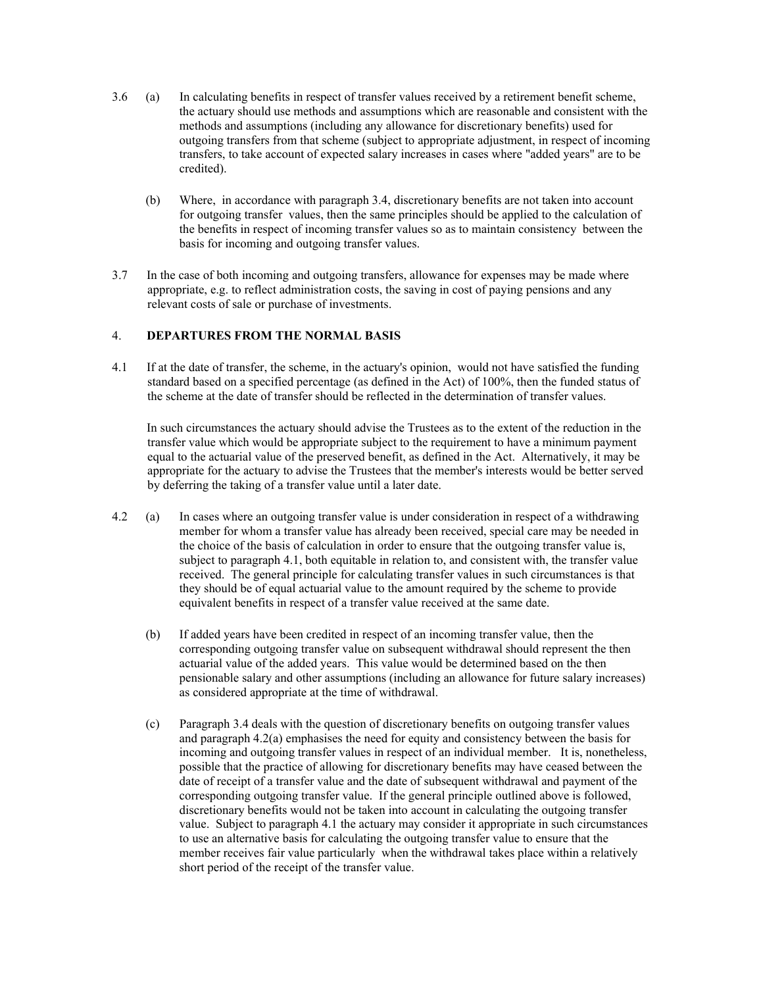- 3.6 (a) In calculating benefits in respect of transfer values received by a retirement benefit scheme, the actuary should use methods and assumptions which are reasonable and consistent with the methods and assumptions (including any allowance for discretionary benefits) used for outgoing transfers from that scheme (subject to appropriate adjustment, in respect of incoming transfers, to take account of expected salary increases in cases where "added years" are to be credited).
	- (b) Where, in accordance with paragraph 3.4, discretionary benefits are not taken into account for outgoing transfer values, then the same principles should be applied to the calculation of the benefits in respect of incoming transfer values so as to maintain consistency between the basis for incoming and outgoing transfer values.
- 3.7 In the case of both incoming and outgoing transfers, allowance for expenses may be made where appropriate, e.g. to reflect administration costs, the saving in cost of paying pensions and any relevant costs of sale or purchase of investments.

### 4. **DEPARTURES FROM THE NORMAL BASIS**

4.1 If at the date of transfer, the scheme, in the actuary's opinion, would not have satisfied the funding standard based on a specified percentage (as defined in the Act) of 100%, then the funded status of the scheme at the date of transfer should be reflected in the determination of transfer values.

 In such circumstances the actuary should advise the Trustees as to the extent of the reduction in the transfer value which would be appropriate subject to the requirement to have a minimum payment equal to the actuarial value of the preserved benefit, as defined in the Act. Alternatively, it may be appropriate for the actuary to advise the Trustees that the member's interests would be better served by deferring the taking of a transfer value until a later date.

- 4.2 (a) In cases where an outgoing transfer value is under consideration in respect of a withdrawing member for whom a transfer value has already been received, special care may be needed in the choice of the basis of calculation in order to ensure that the outgoing transfer value is, subject to paragraph 4.1, both equitable in relation to, and consistent with, the transfer value received. The general principle for calculating transfer values in such circumstances is that they should be of equal actuarial value to the amount required by the scheme to provide equivalent benefits in respect of a transfer value received at the same date.
	- (b) If added years have been credited in respect of an incoming transfer value, then the corresponding outgoing transfer value on subsequent withdrawal should represent the then actuarial value of the added years. This value would be determined based on the then pensionable salary and other assumptions (including an allowance for future salary increases) as considered appropriate at the time of withdrawal.
	- (c) Paragraph 3.4 deals with the question of discretionary benefits on outgoing transfer values and paragraph 4.2(a) emphasises the need for equity and consistency between the basis for incoming and outgoing transfer values in respect of an individual member. It is, nonetheless, possible that the practice of allowing for discretionary benefits may have ceased between the date of receipt of a transfer value and the date of subsequent withdrawal and payment of the corresponding outgoing transfer value. If the general principle outlined above is followed, discretionary benefits would not be taken into account in calculating the outgoing transfer value. Subject to paragraph 4.1 the actuary may consider it appropriate in such circumstances to use an alternative basis for calculating the outgoing transfer value to ensure that the member receives fair value particularly when the withdrawal takes place within a relatively short period of the receipt of the transfer value.